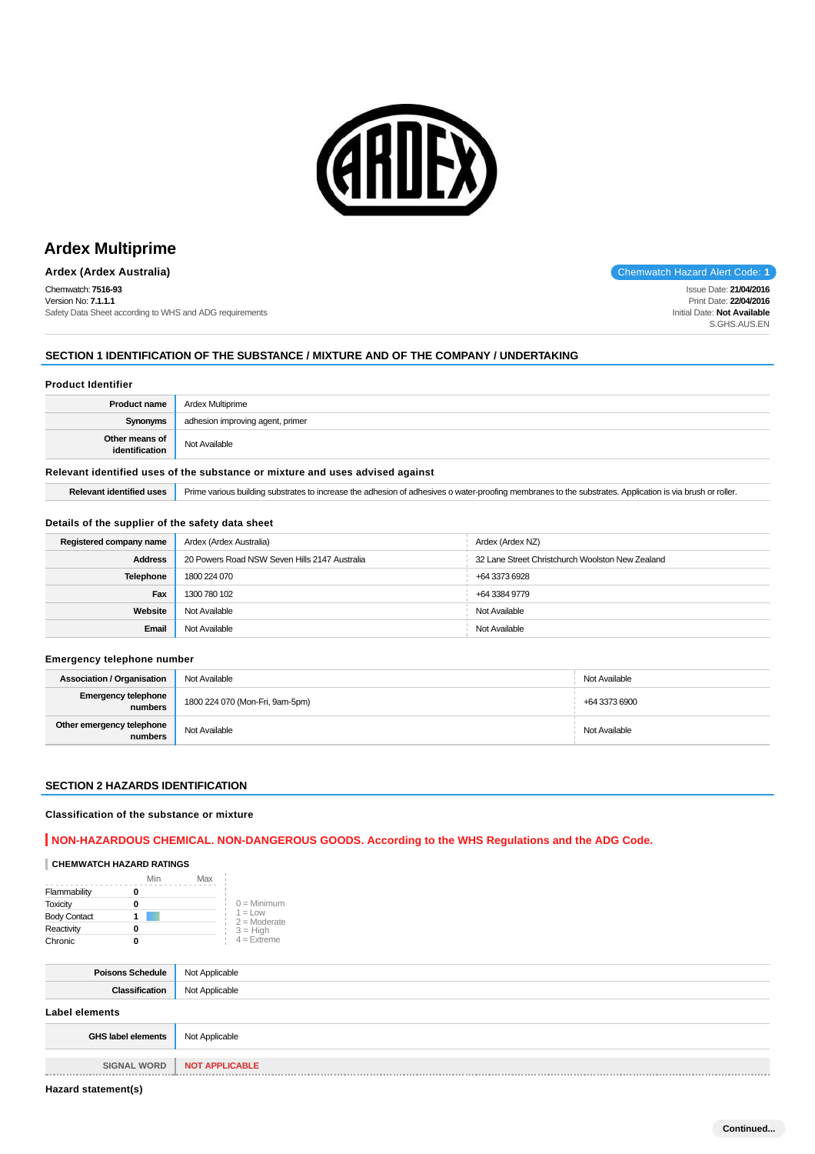

# **Ardex Multiprime**

**Ardex (Ardex Australia) Chemwatch Hazard Alert Code: 1 Chemwatch Hazard Alert Code: 1** 

Chemwatch: **7516-93** Version No: **7.1.1.1** Safety Data Sheet according to WHS and ADG requirements

# Issue Date: **21/04/2016**

Print Date: **22/04/2016** Initial Date: **Not Available** S.GHS.AUS.EN

## **SECTION 1 IDENTIFICATION OF THE SUBSTANCE / MIXTURE AND OF THE COMPANY / UNDERTAKING**

### **Product Identifier**

| <b>Product name</b>                                                           | Ardex Multiprime                 |
|-------------------------------------------------------------------------------|----------------------------------|
| Synonyms                                                                      | adhesion improving agent, primer |
| Other means of<br>identification                                              | Not Available                    |
| Relevant identified uses of the substance or mixture and uses advised against |                                  |

## Relevant identified uses **Prime various building substrates to increase** the adhesion of adhesives o water-proofing membranes to the substrates. Application is via brush or roller.

#### **Details of the supplier of the safety data sheet**

| Registered company name | Ardex (Ardex Australia)                       | Ardex (Ardex NZ)                                 |
|-------------------------|-----------------------------------------------|--------------------------------------------------|
| <b>Address</b>          | 20 Powers Road NSW Seven Hills 2147 Australia | 32 Lane Street Christchurch Woolston New Zealand |
| <b>Telephone</b>        | 1800 224 070                                  | +64 3373 6928                                    |
| Fax                     | 1300 780 102                                  | +64 3384 9779                                    |
| Website                 | Not Available                                 | Not Available                                    |
| Email                   | Not Available                                 | Not Available                                    |

#### **Emergency telephone number**

| <b>Association / Organisation</b>    | Not Available                   | Not Available |
|--------------------------------------|---------------------------------|---------------|
| Emergency telephone<br>numbers       | 1800 224 070 (Mon-Fri, 9am-5pm) | +64 3373 6900 |
| Other emergency telephone<br>numbers | Not Available                   | Not Available |

#### **SECTION 2 HAZARDS IDENTIFICATION**

#### **Classification of the substance or mixture**

## **NON-HAZARDOUS CHEMICAL. NON-DANGEROUS GOODS. According to the WHS Regulations and the ADG Code.**

## **CHEMWATCH HAZARD RATINGS**

|                     | Min | Max |                              |
|---------------------|-----|-----|------------------------------|
| Flammability        |     |     |                              |
| <b>Toxicity</b>     | 0   |     | $0 =$ Minimum                |
| <b>Body Contact</b> |     |     | $1 = 1$ OW<br>$2 =$ Moderate |
| Reactivity          | 0   |     | $3 = High$                   |
| Chronic             |     |     | $4 =$ Extreme                |

| <b>Poisons Schedule</b>             | Not Applicable        |
|-------------------------------------|-----------------------|
| Classification                      | Not Applicable        |
| Label elements                      |                       |
| <b>GHS label elements</b>           | Not Applicable        |
|                                     |                       |
| <b>SIGNAL WORD</b><br>------------- | <b>NOT APPLICABLE</b> |

**Hazard statement(s)**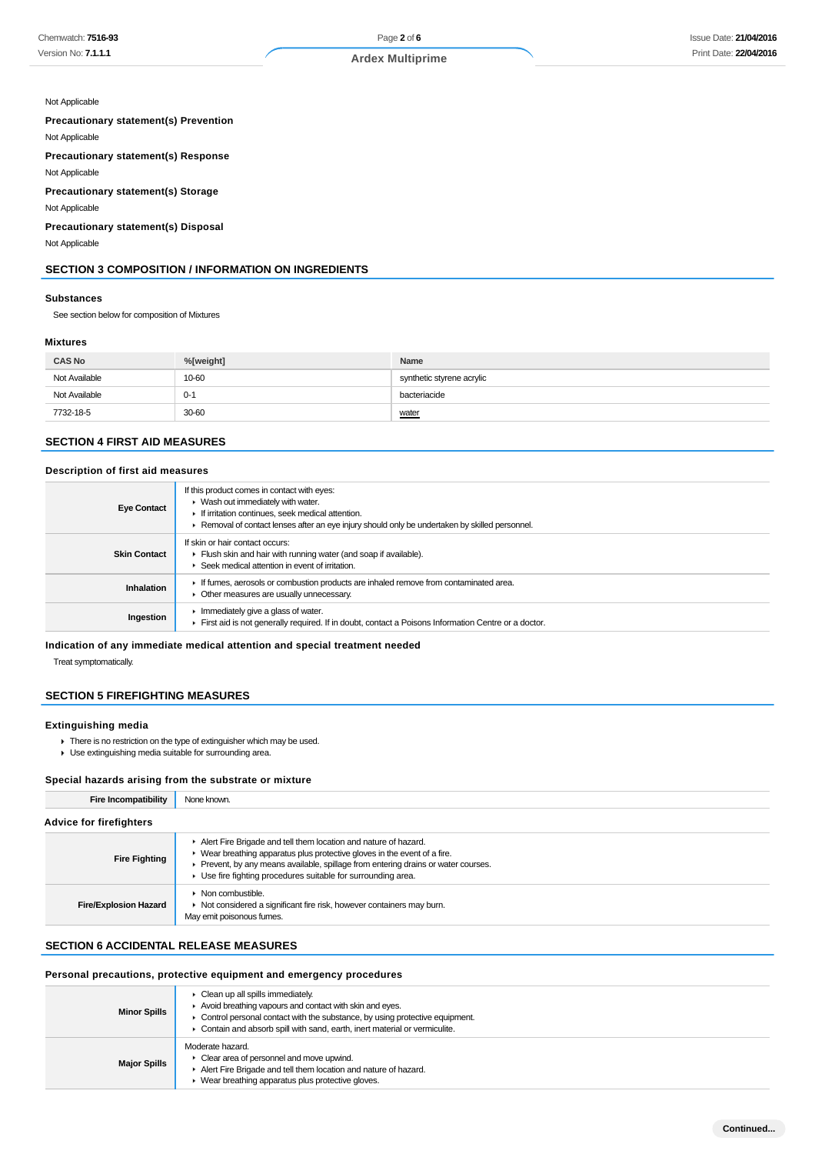### Not Applicable

## **Precautionary statement(s) Prevention**

Not Applicable

## **Precautionary statement(s) Response**

Not Applicable

#### **Precautionary statement(s) Storage**

Not Applicable

#### **Precautionary statement(s) Disposal**

Not Applicable

## **SECTION 3 COMPOSITION / INFORMATION ON INGREDIENTS**

#### **Substances**

See section below for composition of Mixtures

#### **Mixtures**

| <b>CAS No</b> | %[weight] | Name                      |
|---------------|-----------|---------------------------|
| Not Available | 10-60     | synthetic styrene acrylic |
| Not Available | $0 - 1$   | bacteriacide              |
| 7732-18-5     | 30-60     | water                     |

### **SECTION 4 FIRST AID MEASURES**

#### **Description of first aid measures**

| <b>Eye Contact</b>  | If this product comes in contact with eyes:<br>▶ Wash out immediately with water.<br>If irritation continues, seek medical attention.<br>Removal of contact lenses after an eye injury should only be undertaken by skilled personnel. |
|---------------------|----------------------------------------------------------------------------------------------------------------------------------------------------------------------------------------------------------------------------------------|
| <b>Skin Contact</b> | If skin or hair contact occurs:<br>Flush skin and hair with running water (and soap if available).<br>Seek medical attention in event of irritation.                                                                                   |
| <b>Inhalation</b>   | If fumes, aerosols or combustion products are inhaled remove from contaminated area.<br>Other measures are usually unnecessary.                                                                                                        |
| Ingestion           | Immediately give a glass of water.<br>First aid is not generally required. If in doubt, contact a Poisons Information Centre or a doctor.                                                                                              |

#### **Indication of any immediate medical attention and special treatment needed**

Treat symptomatically.

## **SECTION 5 FIREFIGHTING MEASURES**

#### **Extinguishing media**

- $\blacktriangleright$  There is no restriction on the type of extinguisher which may be used.
- Use extinguishing media suitable for surrounding area.

#### **Special hazards arising from the substrate or mixture**

| <b>Fire Incompatibility</b>    | None known.                                                                                                                                                                                                                                                                                     |  |  |
|--------------------------------|-------------------------------------------------------------------------------------------------------------------------------------------------------------------------------------------------------------------------------------------------------------------------------------------------|--|--|
| <b>Advice for firefighters</b> |                                                                                                                                                                                                                                                                                                 |  |  |
| <b>Fire Fighting</b>           | Alert Fire Brigade and tell them location and nature of hazard.<br>• Wear breathing apparatus plus protective gloves in the event of a fire.<br>Prevent, by any means available, spillage from entering drains or water courses.<br>Use fire fighting procedures suitable for surrounding area. |  |  |
| <b>Fire/Explosion Hazard</b>   | $\triangleright$ Non combustible.<br>Not considered a significant fire risk, however containers may burn.<br>May emit poisonous fumes.                                                                                                                                                          |  |  |

## **SECTION 6 ACCIDENTAL RELEASE MEASURES**

# **Personal precautions, protective equipment and emergency procedures**

| <b>Minor Spills</b> | $\triangleright$ Clean up all spills immediately.<br>Avoid breathing vapours and contact with skin and eyes.<br>• Control personal contact with the substance, by using protective equipment.<br>• Contain and absorb spill with sand, earth, inert material or vermiculite. |
|---------------------|------------------------------------------------------------------------------------------------------------------------------------------------------------------------------------------------------------------------------------------------------------------------------|
| <b>Major Spills</b> | Moderate hazard.<br>$\triangleright$ Clear area of personnel and move upwind.<br>Alert Fire Brigade and tell them location and nature of hazard.<br>▶ Wear breathing apparatus plus protective gloves.                                                                       |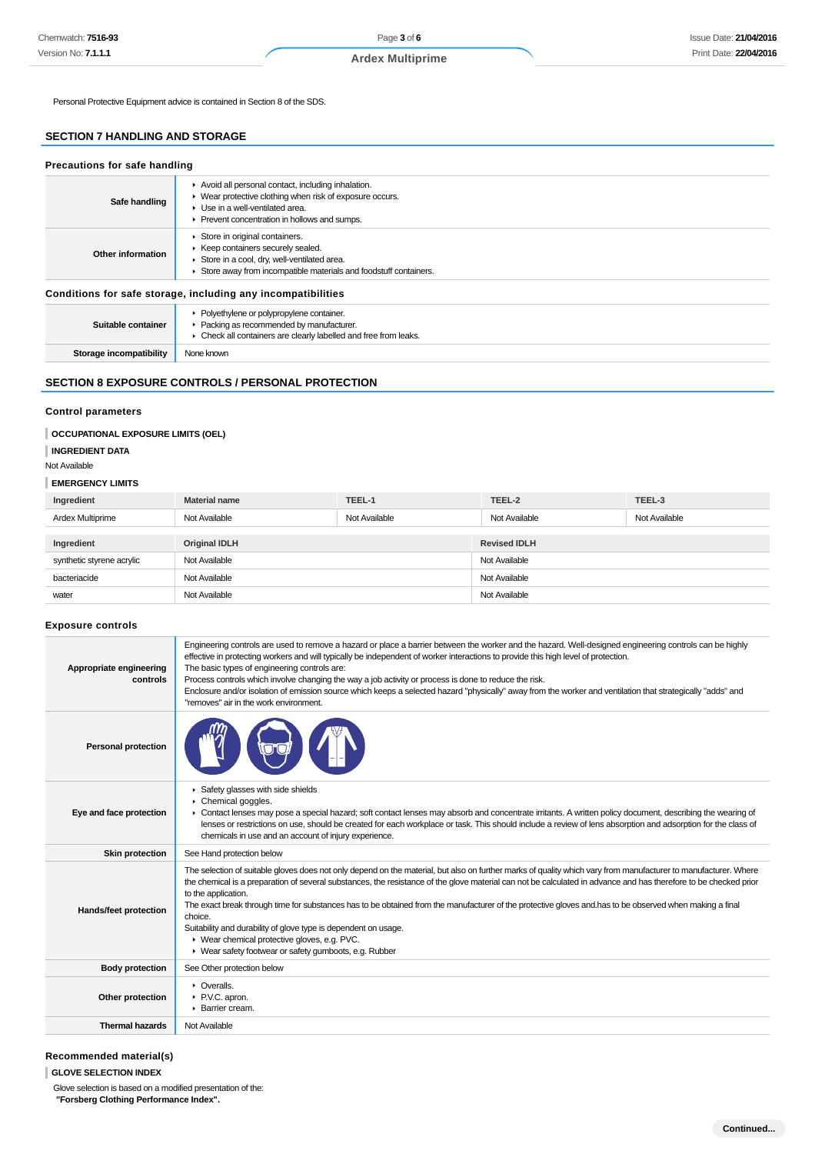Personal Protective Equipment advice is contained in Section 8 of the SDS.

## **SECTION 7 HANDLING AND STORAGE**

| Precautions for safe handling |                                                                                                                                                                                                                        |  |
|-------------------------------|------------------------------------------------------------------------------------------------------------------------------------------------------------------------------------------------------------------------|--|
| Safe handling                 | Avoid all personal contact, including inhalation.<br>• Wear protective clothing when risk of exposure occurs.<br>$\blacktriangleright$ Use in a well-ventilated area.<br>▶ Prevent concentration in hollows and sumps. |  |
| Other information             | Store in original containers.<br>▶ Keep containers securely sealed.<br>Store in a cool, dry, well-ventilated area.<br>Store away from incompatible materials and foodstuff containers.                                 |  |
|                               | Conditions for safe storage, including any incompatibilities                                                                                                                                                           |  |
| Suitable container            | • Polyethylene or polypropylene container.<br>Packing as recommended by manufacturer.<br>• Check all containers are clearly labelled and free from leaks.                                                              |  |
| Storage incompatibility       | None known                                                                                                                                                                                                             |  |

## **SECTION 8 EXPOSURE CONTROLS / PERSONAL PROTECTION**

## **Control parameters**

#### **OCCUPATIONAL EXPOSURE LIMITS (OEL)**

### **INGREDIENT DATA**

#### Not Available

#### **EMERGENCY LIMITS**

| Ingredient                | <b>Material name</b> | TEEL-1        | TEEL-2              | TEEL-3        |
|---------------------------|----------------------|---------------|---------------------|---------------|
| Ardex Multiprime          | Not Available        | Not Available | Not Available       | Not Available |
|                           |                      |               |                     |               |
| Ingredient                | <b>Original IDLH</b> |               | <b>Revised IDLH</b> |               |
| synthetic styrene acrylic | Not Available        |               | Not Available       |               |
| bacteriacide              | Not Available        |               | Not Available       |               |
| water                     | Not Available        |               | Not Available       |               |

### **Exposure controls**

| Appropriate engineering<br>controls | Engineering controls are used to remove a hazard or place a barrier between the worker and the hazard. Well-designed engineering controls can be highly<br>effective in protecting workers and will typically be independent of worker interactions to provide this high level of protection.<br>The basic types of engineering controls are:<br>Process controls which involve changing the way a job activity or process is done to reduce the risk.<br>Enclosure and/or isolation of emission source which keeps a selected hazard "physically" away from the worker and ventilation that strategically "adds" and<br>"removes" air in the work environment.                                                |
|-------------------------------------|----------------------------------------------------------------------------------------------------------------------------------------------------------------------------------------------------------------------------------------------------------------------------------------------------------------------------------------------------------------------------------------------------------------------------------------------------------------------------------------------------------------------------------------------------------------------------------------------------------------------------------------------------------------------------------------------------------------|
| <b>Personal protection</b>          |                                                                                                                                                                                                                                                                                                                                                                                                                                                                                                                                                                                                                                                                                                                |
| Eye and face protection             | ▶ Safety glasses with side shields<br>Chemical goggles.<br>• Contact lenses may pose a special hazard; soft contact lenses may absorb and concentrate irritants. A written policy document, describing the wearing of<br>lenses or restrictions on use, should be created for each workplace or task. This should include a review of lens absorption and adsorption for the class of<br>chemicals in use and an account of injury experience.                                                                                                                                                                                                                                                                 |
| <b>Skin protection</b>              | See Hand protection below                                                                                                                                                                                                                                                                                                                                                                                                                                                                                                                                                                                                                                                                                      |
| Hands/feet protection               | The selection of suitable gloves does not only depend on the material, but also on further marks of quality which vary from manufacturer to manufacturer. Where<br>the chemical is a preparation of several substances, the resistance of the glove material can not be calculated in advance and has therefore to be checked prior<br>to the application.<br>The exact break through time for substances has to be obtained from the manufacturer of the protective gloves and has to be observed when making a final<br>choice.<br>Suitability and durability of glove type is dependent on usage.<br>▶ Wear chemical protective gloves, e.g. PVC.<br>▶ Wear safety footwear or safety gumboots, e.g. Rubber |
| <b>Body protection</b>              | See Other protection below                                                                                                                                                                                                                                                                                                                                                                                                                                                                                                                                                                                                                                                                                     |
| Other protection                    | • Overalls.<br>P.V.C. apron.<br>▶ Barrier cream.                                                                                                                                                                                                                                                                                                                                                                                                                                                                                                                                                                                                                                                               |
| <b>Thermal hazards</b>              | Not Available                                                                                                                                                                                                                                                                                                                                                                                                                                                                                                                                                                                                                                                                                                  |

## **Recommended material(s)**

#### **GLOVE SELECTION INDEX**

Glove selection is based on a modified presentation of the:  **"Forsberg Clothing Performance Index".**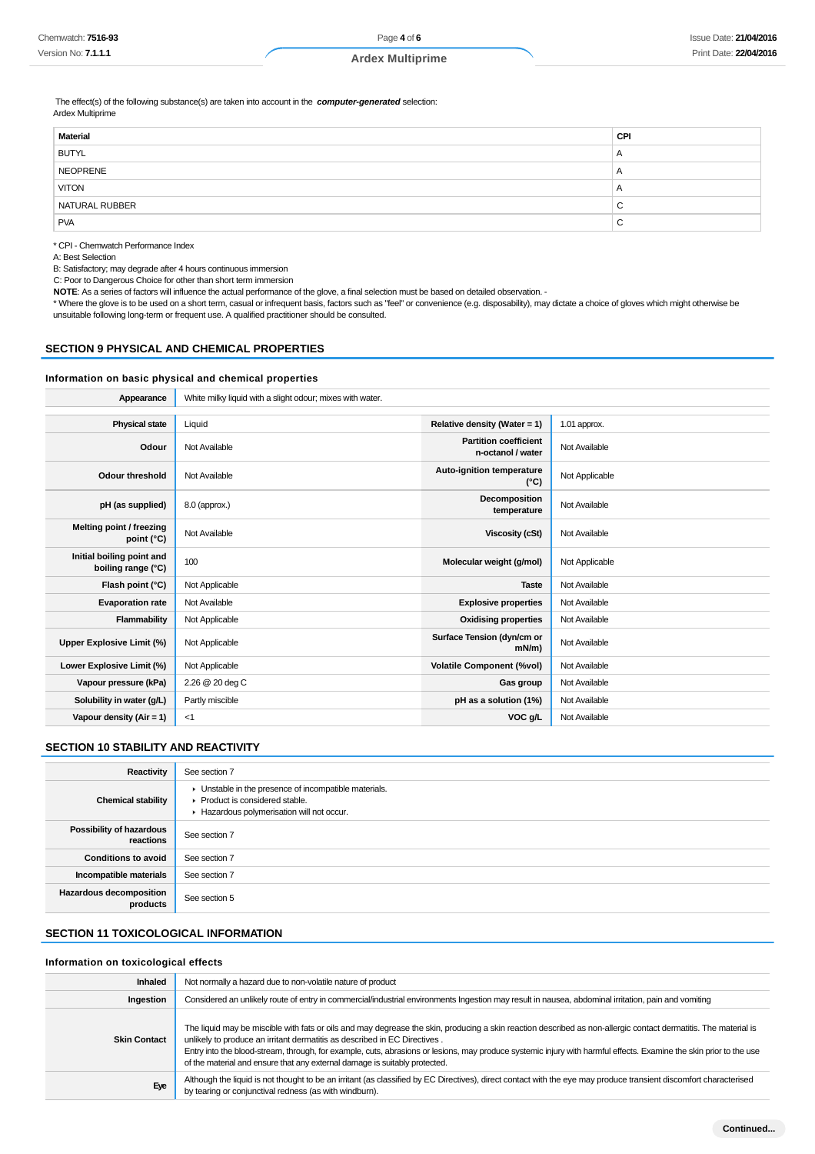**Ardex Multiprime**

 The effect(s) of the following substance(s) are taken into account in the **computer-generated** selection: Ardex Multiprime

| CPI            |
|----------------|
| $\overline{A}$ |
| $\overline{A}$ |
| $\overline{A}$ |
| $\sim$<br>ັ    |
| $\sim$<br>◡    |
|                |

\* CPI - Chemwatch Performance Index

A: Best Selection

B: Satisfactory; may degrade after 4 hours continuous immersion

C: Poor to Dangerous Choice for other than short term immersion

**NOTE**: As a series of factors will influence the actual performance of the glove, a final selection must be based on detailed observation. -

\* Where the glove is to be used on a short term, casual or infrequent basis, factors such as "feel" or convenience (e.g. disposability), may dictate a choice of gloves which might otherwise be unsuitable following long-term or frequent use. A qualified practitioner should be consulted.

#### **SECTION 9 PHYSICAL AND CHEMICAL PROPERTIES**

#### **Information on basic physical and chemical properties**

| Appearance                                      | White milky liquid with a slight odour; mixes with water. |                                                   |                |
|-------------------------------------------------|-----------------------------------------------------------|---------------------------------------------------|----------------|
|                                                 |                                                           |                                                   |                |
| <b>Physical state</b>                           | Liquid                                                    | Relative density (Water = 1)                      | 1.01 approx.   |
| Odour                                           | Not Available                                             | <b>Partition coefficient</b><br>n-octanol / water | Not Available  |
| <b>Odour threshold</b>                          | Not Available                                             | Auto-ignition temperature<br>$(^{\circ}C)$        | Not Applicable |
| pH (as supplied)                                | 8.0 (approx.)                                             | Decomposition<br>temperature                      | Not Available  |
| Melting point / freezing<br>point $(^{\circ}C)$ | Not Available                                             | <b>Viscosity (cSt)</b>                            | Not Available  |
| Initial boiling point and<br>boiling range (°C) | 100                                                       | Molecular weight (g/mol)                          | Not Applicable |
| Flash point (°C)                                | Not Applicable                                            | <b>Taste</b>                                      | Not Available  |
| <b>Evaporation rate</b>                         | Not Available                                             | <b>Explosive properties</b>                       | Not Available  |
| Flammability                                    | Not Applicable                                            | <b>Oxidising properties</b>                       | Not Available  |
| Upper Explosive Limit (%)                       | Not Applicable                                            | Surface Tension (dyn/cm or<br>$mN/m$ )            | Not Available  |
| Lower Explosive Limit (%)                       | Not Applicable                                            | <b>Volatile Component (%vol)</b>                  | Not Available  |
| Vapour pressure (kPa)                           | 2.26 @ 20 deg C                                           | Gas group                                         | Not Available  |
| Solubility in water (g/L)                       | Partly miscible                                           | pH as a solution (1%)                             | Not Available  |
| Vapour density $(Air = 1)$                      | $<$ 1                                                     | VOC g/L                                           | Not Available  |

### **SECTION 10 STABILITY AND REACTIVITY**

| Reactivity                            | See section 7                                                                                                                        |
|---------------------------------------|--------------------------------------------------------------------------------------------------------------------------------------|
| <b>Chemical stability</b>             | • Unstable in the presence of incompatible materials.<br>▶ Product is considered stable.<br>Hazardous polymerisation will not occur. |
| Possibility of hazardous<br>reactions | See section 7                                                                                                                        |
| <b>Conditions to avoid</b>            | See section 7                                                                                                                        |
| Incompatible materials                | See section 7                                                                                                                        |
| Hazardous decomposition<br>products   | See section 5                                                                                                                        |

## **SECTION 11 TOXICOLOGICAL INFORMATION**

#### **Information on toxicological effects**

| Inhaled             | Not normally a hazard due to non-volatile nature of product                                                                                                                                                                                                                                                                                                                                                                                                                                      |
|---------------------|--------------------------------------------------------------------------------------------------------------------------------------------------------------------------------------------------------------------------------------------------------------------------------------------------------------------------------------------------------------------------------------------------------------------------------------------------------------------------------------------------|
| Ingestion           | Considered an unlikely route of entry in commercial/industrial environments Ingestion may result in nausea, abdominal irritation, pain and vomiting                                                                                                                                                                                                                                                                                                                                              |
| <b>Skin Contact</b> | The liquid may be miscible with fats or oils and may degrease the skin, producing a skin reaction described as non-allergic contact dermatitis. The material is<br>unlikely to produce an irritant dermatitis as described in EC Directives.<br>Entry into the blood-stream, through, for example, cuts, abrasions or lesions, may produce systemic injury with harmful effects. Examine the skin prior to the use<br>of the material and ensure that any external damage is suitably protected. |
| Eye                 | Although the liquid is not thought to be an irritant (as classified by EC Directives), direct contact with the eye may produce transient discomfort characterised<br>by tearing or conjunctival redness (as with windburn).                                                                                                                                                                                                                                                                      |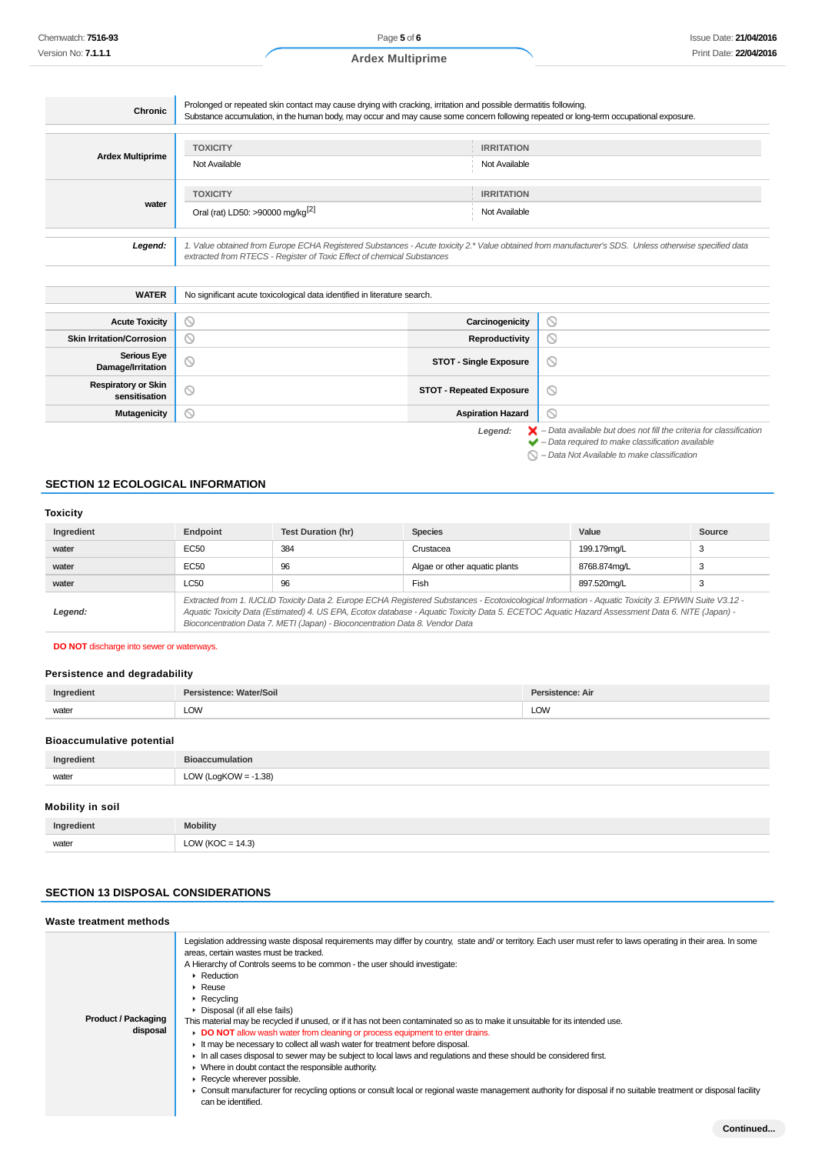Page **5** of **6 Ardex Multiprime**

| Chronic                 | Prolonged or repeated skin contact may cause drying with cracking, irritation and possible dermatitis following.<br>Substance accumulation, in the human body, may occur and may cause some concern following repeated or long-term occupational exposure. |                                    |  |
|-------------------------|------------------------------------------------------------------------------------------------------------------------------------------------------------------------------------------------------------------------------------------------------------|------------------------------------|--|
| <b>Ardex Multiprime</b> | <b>TOXICITY</b><br>Not Available                                                                                                                                                                                                                           | <b>IRRITATION</b><br>Not Available |  |
| water                   | <b>TOXICITY</b><br>Oral (rat) LD50: >90000 mg/kg <sup>[2]</sup>                                                                                                                                                                                            | <b>IRRITATION</b><br>Not Available |  |
| Legend:                 | 1. Value obtained from Europe ECHA Registered Substances - Acute toxicity 2.* Value obtained from manufacturer's SDS. Unless otherwise specified data<br>extracted from RTECS - Register of Toxic Effect of chemical Substances                            |                                    |  |

| <b>WATER</b>                                | No significant acute toxicological data identified in literature search. |                                 |                                                                                                                                                                    |
|---------------------------------------------|--------------------------------------------------------------------------|---------------------------------|--------------------------------------------------------------------------------------------------------------------------------------------------------------------|
|                                             |                                                                          |                                 |                                                                                                                                                                    |
| <b>Acute Toxicity</b>                       | $\circ$                                                                  | Carcinogenicity                 | $\circledcirc$                                                                                                                                                     |
| <b>Skin Irritation/Corrosion</b>            | $\circ$                                                                  | Reproductivity                  | $\circ$                                                                                                                                                            |
| <b>Serious Eye</b><br>Damage/Irritation     | $\circ$                                                                  | <b>STOT - Single Exposure</b>   | $\circ$                                                                                                                                                            |
| <b>Respiratory or Skin</b><br>sensitisation | $\circledcirc$                                                           | <b>STOT - Repeated Exposure</b> | $\circledcirc$                                                                                                                                                     |
| <b>Mutagenicity</b>                         | $\circ$                                                                  | <b>Aspiration Hazard</b>        | $\circ$                                                                                                                                                            |
|                                             |                                                                          | Legend:                         | $\blacktriangleright$ - Data available but does not fill the criteria for classification<br>$\blacktriangleright$ - Data required to make classification available |

 $\bigcirc$  – Data Not Available to make classification

### **SECTION 12 ECOLOGICAL INFORMATION**

#### **Toxicity**

| Ingredient | Endpoint                                                                                                                                                                                                                                                                                                                                                                                 | <b>Test Duration (hr)</b> | <b>Species</b>                | Value        | Source |
|------------|------------------------------------------------------------------------------------------------------------------------------------------------------------------------------------------------------------------------------------------------------------------------------------------------------------------------------------------------------------------------------------------|---------------------------|-------------------------------|--------------|--------|
| water      | EC50                                                                                                                                                                                                                                                                                                                                                                                     | 384                       | Crustacea                     | 199.179mg/L  | 3      |
| water      | EC50                                                                                                                                                                                                                                                                                                                                                                                     | 96                        | Algae or other aquatic plants | 8768.874mg/L | 3      |
| water      | <b>LC50</b>                                                                                                                                                                                                                                                                                                                                                                              | 96                        | Fish                          | 897.520ma/L  |        |
| Legend:    | Extracted from 1. IUCLID Toxicity Data 2. Europe ECHA Registered Substances - Ecotoxicological Information - Aquatic Toxicity 3. EPIWIN Suite V3.12 -<br>Aquatic Toxicity Data (Estimated) 4. US EPA, Ecotox database - Aquatic Toxicity Data 5. ECETOC Aquatic Hazard Assessment Data 6. NITE (Japan) -<br>Bioconcentration Data 7. METI (Japan) - Bioconcentration Data 8. Vendor Data |                           |                               |              |        |

**DO NOT** discharge into sewer or waterways.

#### **Persistence and degradability**

| Ingredient | Persistence: Water/Soil | Persistence: Air |
|------------|-------------------------|------------------|
| water      | LOW                     | LOW              |

#### **Bioaccumulative potential**

| Ingredient              | <b>Bioaccumulation</b>  |
|-------------------------|-------------------------|
| water                   | LOW (LogKOW = $-1.38$ ) |
| <b>Mobility in soil</b> |                         |
|                         |                         |

| Ingredient | <b>Mobility</b>      |
|------------|----------------------|
| water      | LOW ( $KOC = 14.3$ ) |

## **SECTION 13 DISPOSAL CONSIDERATIONS**

#### **Waste treatment methods Product / Packaging disposal** Legislation addressing waste disposal requirements may differ by country, state and/ or territory. Each user must refer to laws operating in their area. In some areas, certain wastes must be tracked. A Hierarchy of Controls seems to be common - the user should investigate: **Reduction** Reuse Recycling Disposal (if all else fails) This material may be recycled if unused, or if it has not been contaminated so as to make it unsuitable for its intended use. **DO NOT** allow wash water from cleaning or process equipment to enter drains. It may be necessary to collect all wash water for treatment before disposal. In all cases disposal to sewer may be subject to local laws and regulations and these should be considered first. Where in doubt contact the responsible authority. Recycle wherever possible. Consult manufacturer for recycling options or consult local or regional waste management authority for disposal if no suitable treatment or disposal facility can be identified.